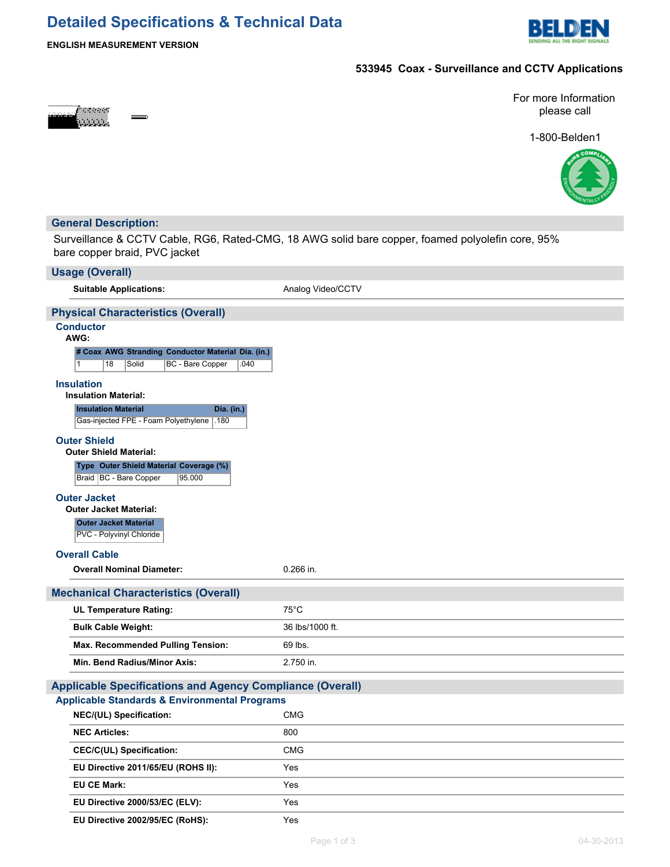# **Detailed Specifications & Technical Data**



## **ENGLISH MEASUREMENT VERSION**

## **533945 Coax - Surveillance and CCTV Applications**



For more Information please call

1-800-Belden1



### **General Description:**

Surveillance & CCTV Cable, RG6, Rated-CMG, 18 AWG solid bare copper, foamed polyolefin core, 95% bare copper braid, PVC jacket

| <b>Usage (Overall)</b>                                                                                        |                   |  |  |  |  |
|---------------------------------------------------------------------------------------------------------------|-------------------|--|--|--|--|
| <b>Suitable Applications:</b>                                                                                 | Analog Video/CCTV |  |  |  |  |
| <b>Physical Characteristics (Overall)</b>                                                                     |                   |  |  |  |  |
| <b>Conductor</b><br>AWG:                                                                                      |                   |  |  |  |  |
| # Coax AWG Stranding Conductor Material Dia. (in.)<br>$\mathbf{1}$<br>18<br>Solid<br>BC - Bare Copper<br>.040 |                   |  |  |  |  |
| <b>Insulation</b><br><b>Insulation Material:</b>                                                              |                   |  |  |  |  |
| <b>Insulation Material</b><br>Dia. (in.)<br>Gas-injected FPE - Foam Polyethylene<br>.180                      |                   |  |  |  |  |
| <b>Outer Shield</b><br><b>Outer Shield Material:</b>                                                          |                   |  |  |  |  |
| Type Outer Shield Material Coverage (%)<br>Braid   BC - Bare Copper<br>95.000                                 |                   |  |  |  |  |
| <b>Outer Jacket</b><br><b>Outer Jacket Material:</b>                                                          |                   |  |  |  |  |
| <b>Outer Jacket Material</b>                                                                                  |                   |  |  |  |  |
| PVC - Polyvinyl Chloride                                                                                      |                   |  |  |  |  |
| <b>Overall Cable</b>                                                                                          |                   |  |  |  |  |
| <b>Overall Nominal Diameter:</b>                                                                              | 0.266 in.         |  |  |  |  |
| <b>Mechanical Characteristics (Overall)</b>                                                                   |                   |  |  |  |  |
| <b>UL Temperature Rating:</b>                                                                                 | $75^{\circ}$ C    |  |  |  |  |
| <b>Bulk Cable Weight:</b>                                                                                     | 36 lbs/1000 ft.   |  |  |  |  |
| <b>Max. Recommended Pulling Tension:</b>                                                                      | 69 lbs.           |  |  |  |  |
| Min. Bend Radius/Minor Axis:                                                                                  | 2.750 in.         |  |  |  |  |
| <b>Applicable Specifications and Agency Compliance (Overall)</b>                                              |                   |  |  |  |  |
|                                                                                                               |                   |  |  |  |  |
| <b>Applicable Standards &amp; Environmental Programs</b>                                                      |                   |  |  |  |  |
| <b>NEC/(UL) Specification:</b>                                                                                | <b>CMG</b>        |  |  |  |  |
| <b>NEC Articles:</b>                                                                                          | 800               |  |  |  |  |
| <b>CEC/C(UL) Specification:</b>                                                                               | <b>CMG</b>        |  |  |  |  |
| EU Directive 2011/65/EU (ROHS II):                                                                            | Yes               |  |  |  |  |
| <b>EU CE Mark:</b>                                                                                            | Yes               |  |  |  |  |
| EU Directive 2000/53/EC (ELV):                                                                                | Yes               |  |  |  |  |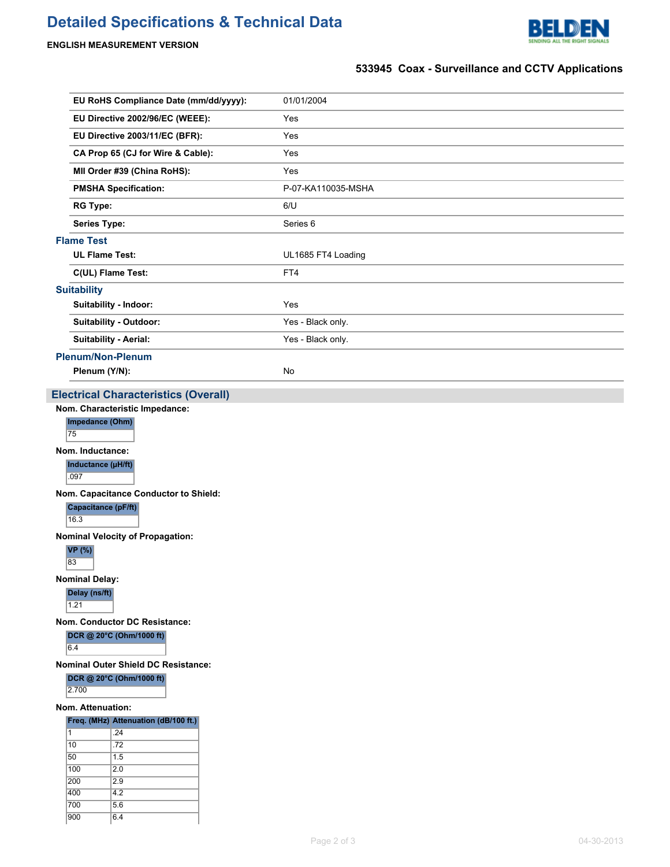# **Detailed Specifications & Technical Data**



### **ENGLISH MEASUREMENT VERSION**

700 5.6 900 6.4

# **533945 Coax - Surveillance and CCTV Applications**

|                                                                                                                                                                                                                                                                                                                                                                                                                                                                                                                                                                                                        | EU RoHS Compliance Date (mm/dd/yyyy): | 01/01/2004         |  |  |
|--------------------------------------------------------------------------------------------------------------------------------------------------------------------------------------------------------------------------------------------------------------------------------------------------------------------------------------------------------------------------------------------------------------------------------------------------------------------------------------------------------------------------------------------------------------------------------------------------------|---------------------------------------|--------------------|--|--|
|                                                                                                                                                                                                                                                                                                                                                                                                                                                                                                                                                                                                        | EU Directive 2002/96/EC (WEEE):       | Yes                |  |  |
|                                                                                                                                                                                                                                                                                                                                                                                                                                                                                                                                                                                                        | EU Directive 2003/11/EC (BFR):        | Yes                |  |  |
|                                                                                                                                                                                                                                                                                                                                                                                                                                                                                                                                                                                                        | CA Prop 65 (CJ for Wire & Cable):     | Yes                |  |  |
|                                                                                                                                                                                                                                                                                                                                                                                                                                                                                                                                                                                                        | MII Order #39 (China RoHS):           | Yes                |  |  |
|                                                                                                                                                                                                                                                                                                                                                                                                                                                                                                                                                                                                        | <b>PMSHA Specification:</b>           | P-07-KA110035-MSHA |  |  |
|                                                                                                                                                                                                                                                                                                                                                                                                                                                                                                                                                                                                        | <b>RG Type:</b>                       | 6/U                |  |  |
|                                                                                                                                                                                                                                                                                                                                                                                                                                                                                                                                                                                                        | <b>Series Type:</b>                   | Series 6           |  |  |
| <b>Flame Test</b>                                                                                                                                                                                                                                                                                                                                                                                                                                                                                                                                                                                      |                                       |                    |  |  |
|                                                                                                                                                                                                                                                                                                                                                                                                                                                                                                                                                                                                        | <b>UL Flame Test:</b>                 | UL1685 FT4 Loading |  |  |
|                                                                                                                                                                                                                                                                                                                                                                                                                                                                                                                                                                                                        | C(UL) Flame Test:                     | FT4                |  |  |
| <b>Suitability</b>                                                                                                                                                                                                                                                                                                                                                                                                                                                                                                                                                                                     |                                       |                    |  |  |
|                                                                                                                                                                                                                                                                                                                                                                                                                                                                                                                                                                                                        | Suitability - Indoor:                 | Yes                |  |  |
|                                                                                                                                                                                                                                                                                                                                                                                                                                                                                                                                                                                                        | <b>Suitability - Outdoor:</b>         | Yes - Black only.  |  |  |
|                                                                                                                                                                                                                                                                                                                                                                                                                                                                                                                                                                                                        | <b>Suitability - Aerial:</b>          | Yes - Black only.  |  |  |
|                                                                                                                                                                                                                                                                                                                                                                                                                                                                                                                                                                                                        | <b>Plenum/Non-Plenum</b>              |                    |  |  |
|                                                                                                                                                                                                                                                                                                                                                                                                                                                                                                                                                                                                        | Plenum (Y/N):                         | No                 |  |  |
| Nom. Characteristic Impedance:<br>Impedance (Ohm)<br>75<br>Nom. Inductance:<br>Inductance (µH/ft)<br>.097<br>Nom. Capacitance Conductor to Shield:<br>Capacitance (pF/ft)<br>16.3<br><b>Nominal Velocity of Propagation:</b><br><b>VP</b> (%)<br>83<br><b>Nominal Delay:</b><br>Delay (ns/ft)<br>1.21<br>Nom. Conductor DC Resistance:<br>DCR @ 20°C (Ohm/1000 ft)<br>6.4<br>Nominal Outer Shield DC Resistance:<br>DCR @ 20°C (Ohm/1000 ft)<br>2.700<br>Nom. Attenuation:<br>Freq. (MHz) Attenuation (dB/100 ft.)<br>$\vert$ 1<br>.24<br>$ 10\rangle$<br>.72<br>50<br>1.5<br>100<br>2.0<br>200<br>2.9 |                                       |                    |  |  |
|                                                                                                                                                                                                                                                                                                                                                                                                                                                                                                                                                                                                        |                                       |                    |  |  |